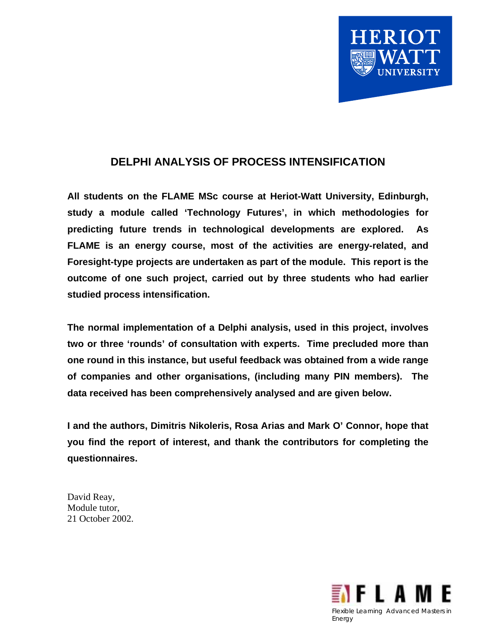

# **DELPHI ANALYSIS OF PROCESS INTENSIFICATION**

**All students on the FLAME MSc course at Heriot-Watt University, Edinburgh, study a module called 'Technology Futures', in which methodologies for predicting future trends in technological developments are explored. As FLAME is an energy course, most of the activities are energy-related, and Foresight-type projects are undertaken as part of the module. This report is the outcome of one such project, carried out by three students who had earlier studied process intensification.** 

**The normal implementation of a Delphi analysis, used in this project, involves two or three 'rounds' of consultation with experts. Time precluded more than one round in this instance, but useful feedback was obtained from a wide range of companies and other organisations, (including many PIN members). The data received has been comprehensively analysed and are given below.**

**I and the authors, Dimitris Nikoleris, Rosa Arias and Mark O' Connor, hope that you find the report of interest, and thank the contributors for completing the questionnaires.** 

David Reay, Module tutor, 21 October 2002.

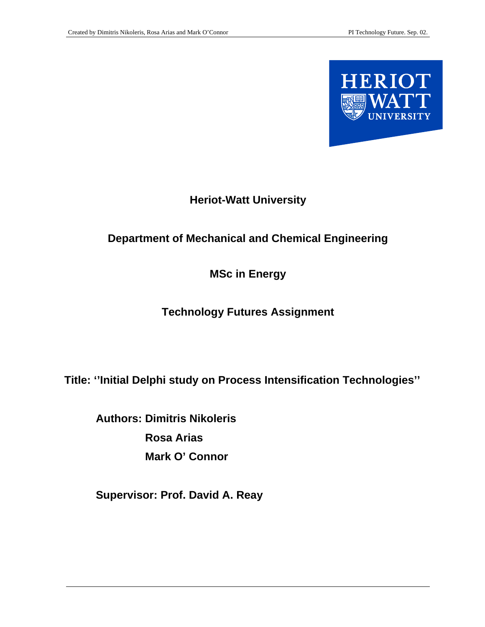

# **Heriot-Watt University**

# **Department of Mechanical and Chemical Engineering**

## **MSc in Energy**

# **Technology Futures Assignment**

**Title: ''Initial Delphi study on Process Intensification Technologies''**

**Authors: Dimitris Nikoleris Rosa Arias Mark O' Connor** 

**Supervisor: Prof. David A. Reay**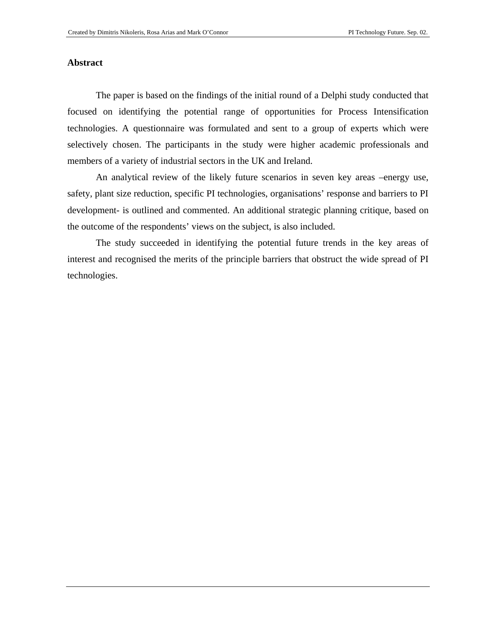#### **Abstract**

The paper is based on the findings of the initial round of a Delphi study conducted that focused on identifying the potential range of opportunities for Process Intensification technologies. A questionnaire was formulated and sent to a group of experts which were selectively chosen. The participants in the study were higher academic professionals and members of a variety of industrial sectors in the UK and Ireland.

An analytical review of the likely future scenarios in seven key areas –energy use, safety, plant size reduction, specific PI technologies, organisations' response and barriers to PI development- is outlined and commented. An additional strategic planning critique, based on the outcome of the respondents' views on the subject, is also included.

The study succeeded in identifying the potential future trends in the key areas of interest and recognised the merits of the principle barriers that obstruct the wide spread of PI technologies.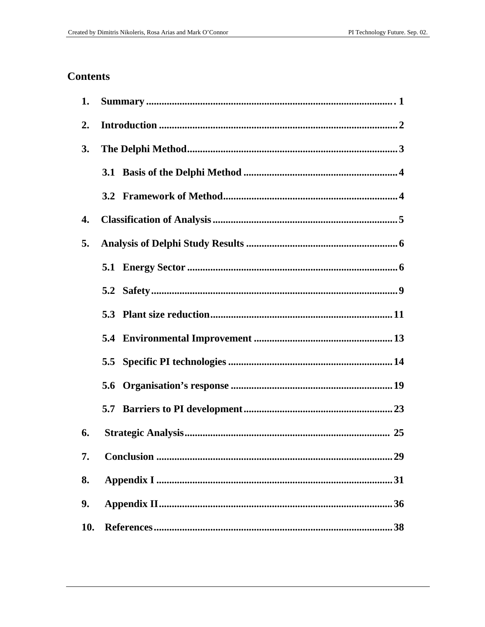### **Contents**

| 1.               |  |  |  |
|------------------|--|--|--|
| $\overline{2}$ . |  |  |  |
| 3.               |  |  |  |
|                  |  |  |  |
|                  |  |  |  |
| 4.               |  |  |  |
| 5.               |  |  |  |
|                  |  |  |  |
|                  |  |  |  |
|                  |  |  |  |
|                  |  |  |  |
|                  |  |  |  |
|                  |  |  |  |
|                  |  |  |  |
| 6.               |  |  |  |
| 7.               |  |  |  |
| 8.               |  |  |  |
| 9.               |  |  |  |
| <b>10.</b>       |  |  |  |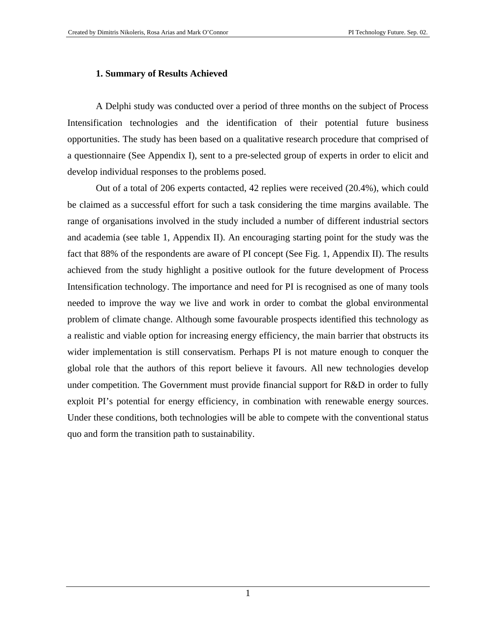#### **1. Summary of Results Achieved**

A Delphi study was conducted over a period of three months on the subject of Process Intensification technologies and the identification of their potential future business opportunities. The study has been based on a qualitative research procedure that comprised of a questionnaire (See Appendix I), sent to a pre-selected group of experts in order to elicit and develop individual responses to the problems posed.

Out of a total of 206 experts contacted, 42 replies were received (20.4%), which could be claimed as a successful effort for such a task considering the time margins available. The range of organisations involved in the study included a number of different industrial sectors and academia (see table 1, Appendix II). An encouraging starting point for the study was the fact that 88% of the respondents are aware of PI concept (See Fig. 1, Appendix II). The results achieved from the study highlight a positive outlook for the future development of Process Intensification technology. The importance and need for PI is recognised as one of many tools needed to improve the way we live and work in order to combat the global environmental problem of climate change. Although some favourable prospects identified this technology as a realistic and viable option for increasing energy efficiency, the main barrier that obstructs its wider implementation is still conservatism. Perhaps PI is not mature enough to conquer the global role that the authors of this report believe it favours. All new technologies develop under competition. The Government must provide financial support for R&D in order to fully exploit PI's potential for energy efficiency, in combination with renewable energy sources. Under these conditions, both technologies will be able to compete with the conventional status quo and form the transition path to sustainability.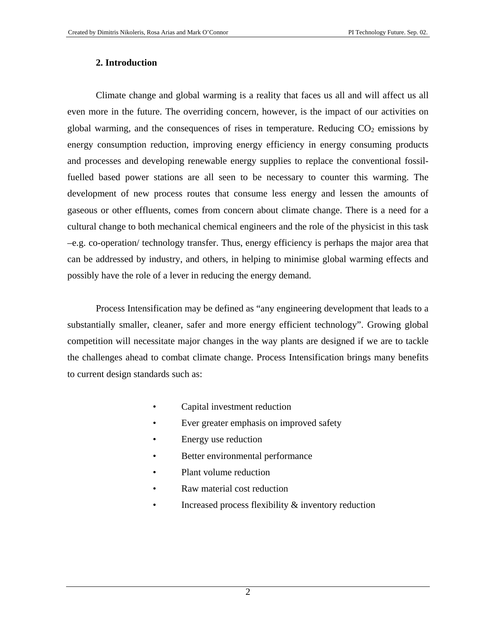#### **2. Introduction**

Climate change and global warming is a reality that faces us all and will affect us all even more in the future. The overriding concern, however, is the impact of our activities on global warming, and the consequences of rises in temperature. Reducing  $CO<sub>2</sub>$  emissions by energy consumption reduction, improving energy efficiency in energy consuming products and processes and developing renewable energy supplies to replace the conventional fossilfuelled based power stations are all seen to be necessary to counter this warming. The development of new process routes that consume less energy and lessen the amounts of gaseous or other effluents, comes from concern about climate change. There is a need for a cultural change to both mechanical chemical engineers and the role of the physicist in this task –e.g. co-operation/ technology transfer. Thus, energy efficiency is perhaps the major area that can be addressed by industry, and others, in helping to minimise global warming effects and possibly have the role of a lever in reducing the energy demand.

Process Intensification may be defined as "any engineering development that leads to a substantially smaller, cleaner, safer and more energy efficient technology". Growing global competition will necessitate major changes in the way plants are designed if we are to tackle the challenges ahead to combat climate change. Process Intensification brings many benefits to current design standards such as:

- Capital investment reduction
- Ever greater emphasis on improved safety
- Energy use reduction
- Better environmental performance
- Plant volume reduction
- Raw material cost reduction
- Increased process flexibility  $\&$  inventory reduction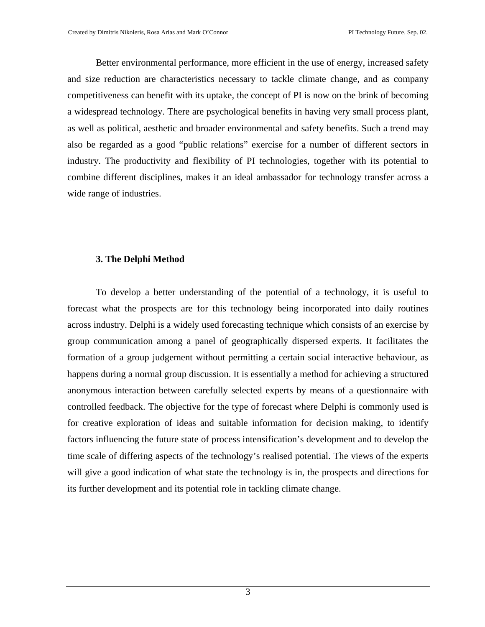Better environmental performance, more efficient in the use of energy, increased safety and size reduction are characteristics necessary to tackle climate change, and as company competitiveness can benefit with its uptake, the concept of PI is now on the brink of becoming a widespread technology. There are psychological benefits in having very small process plant, as well as political, aesthetic and broader environmental and safety benefits. Such a trend may also be regarded as a good "public relations" exercise for a number of different sectors in industry. The productivity and flexibility of PI technologies, together with its potential to combine different disciplines, makes it an ideal ambassador for technology transfer across a wide range of industries.

#### **3. The Delphi Method**

To develop a better understanding of the potential of a technology, it is useful to forecast what the prospects are for this technology being incorporated into daily routines across industry. Delphi is a widely used forecasting technique which consists of an exercise by group communication among a panel of geographically dispersed experts. It facilitates the formation of a group judgement without permitting a certain social interactive behaviour, as happens during a normal group discussion. It is essentially a method for achieving a structured anonymous interaction between carefully selected experts by means of a questionnaire with controlled feedback. The objective for the type of forecast where Delphi is commonly used is for creative exploration of ideas and suitable information for decision making, to identify factors influencing the future state of process intensification's development and to develop the time scale of differing aspects of the technology's realised potential. The views of the experts will give a good indication of what state the technology is in, the prospects and directions for its further development and its potential role in tackling climate change.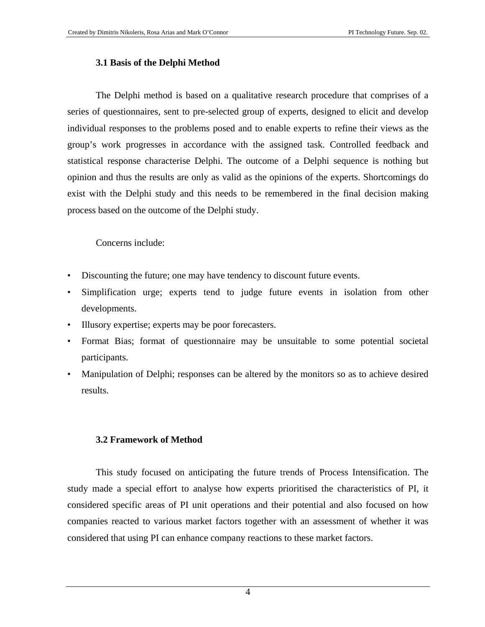#### **3.1 Basis of the Delphi Method**

The Delphi method is based on a qualitative research procedure that comprises of a series of questionnaires, sent to pre-selected group of experts, designed to elicit and develop individual responses to the problems posed and to enable experts to refine their views as the group's work progresses in accordance with the assigned task. Controlled feedback and statistical response characterise Delphi. The outcome of a Delphi sequence is nothing but opinion and thus the results are only as valid as the opinions of the experts. Shortcomings do exist with the Delphi study and this needs to be remembered in the final decision making process based on the outcome of the Delphi study.

Concerns include:

- Discounting the future; one may have tendency to discount future events.
- Simplification urge; experts tend to judge future events in isolation from other developments.
- Illusory expertise; experts may be poor forecasters.
- Format Bias; format of questionnaire may be unsuitable to some potential societal participants.
- Manipulation of Delphi; responses can be altered by the monitors so as to achieve desired results.

#### **3.2 Framework of Method**

This study focused on anticipating the future trends of Process Intensification. The study made a special effort to analyse how experts prioritised the characteristics of PI, it considered specific areas of PI unit operations and their potential and also focused on how companies reacted to various market factors together with an assessment of whether it was considered that using PI can enhance company reactions to these market factors.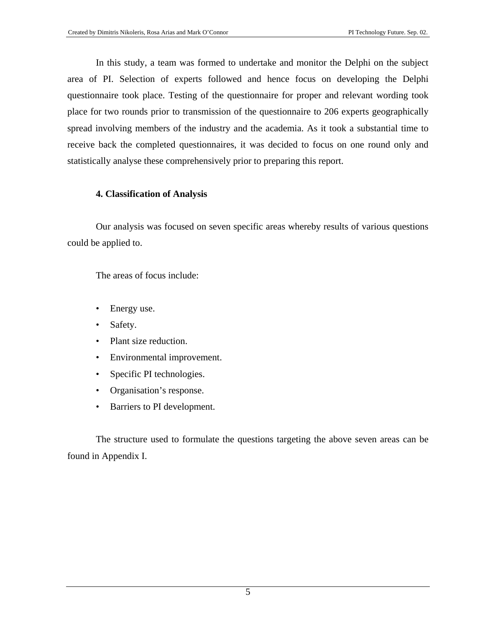In this study, a team was formed to undertake and monitor the Delphi on the subject area of PI. Selection of experts followed and hence focus on developing the Delphi questionnaire took place. Testing of the questionnaire for proper and relevant wording took place for two rounds prior to transmission of the questionnaire to 206 experts geographically spread involving members of the industry and the academia. As it took a substantial time to receive back the completed questionnaires, it was decided to focus on one round only and statistically analyse these comprehensively prior to preparing this report.

#### **4. Classification of Analysis**

Our analysis was focused on seven specific areas whereby results of various questions could be applied to.

The areas of focus include:

- Energy use.
- Safety.
- Plant size reduction.
- Environmental improvement.
- Specific PI technologies.
- Organisation's response.
- Barriers to PI development.

The structure used to formulate the questions targeting the above seven areas can be found in Appendix I.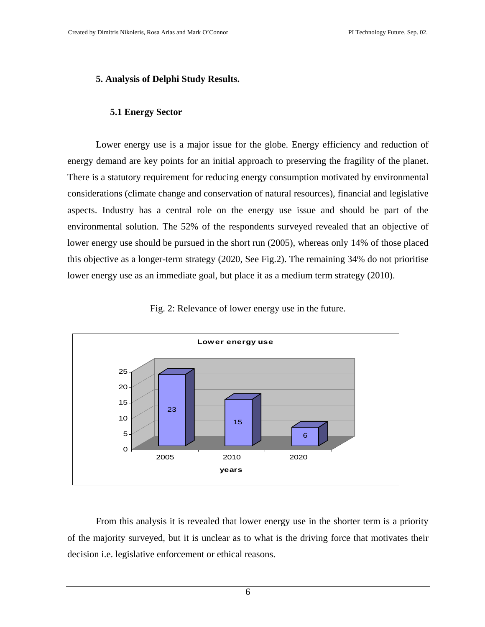#### **5. Analysis of Delphi Study Results.**

#### **5.1 Energy Sector**

Lower energy use is a major issue for the globe. Energy efficiency and reduction of energy demand are key points for an initial approach to preserving the fragility of the planet. There is a statutory requirement for reducing energy consumption motivated by environmental considerations (climate change and conservation of natural resources), financial and legislative aspects. Industry has a central role on the energy use issue and should be part of the environmental solution. The 52% of the respondents surveyed revealed that an objective of lower energy use should be pursued in the short run (2005), whereas only 14% of those placed this objective as a longer-term strategy (2020, See Fig.2). The remaining 34% do not prioritise lower energy use as an immediate goal, but place it as a medium term strategy (2010).



Fig. 2: Relevance of lower energy use in the future.

From this analysis it is revealed that lower energy use in the shorter term is a priority of the majority surveyed, but it is unclear as to what is the driving force that motivates their decision i.e. legislative enforcement or ethical reasons.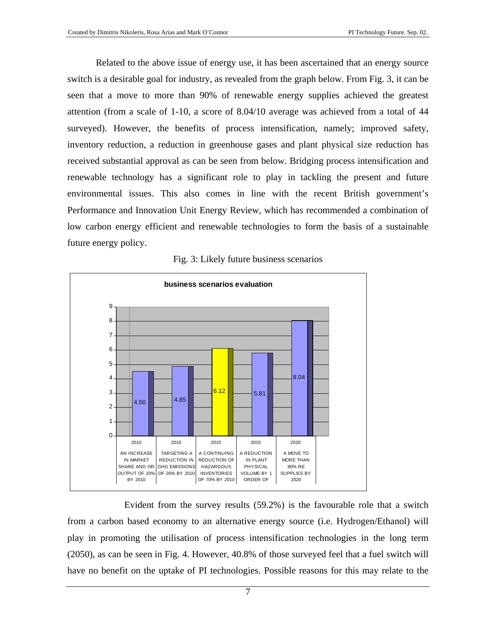Related to the above issue of energy use, it has been ascertained that an energy source switch is a desirable goal for industry, as revealed from the graph below. From Fig. 3, it can be seen that a move to more than 90% of renewable energy supplies achieved the greatest attention (from a scale of 1-10, a score of 8.04/10 average was achieved from a total of 44 surveyed). However, the benefits of process intensification, namely; improved safety, inventory reduction, a reduction in greenhouse gases and plant physical size reduction has received substantial approval as can be seen from below. Bridging process intensification and renewable technology has a significant role to play in tackling the present and future environmental issues. This also comes in line with the recent British government's Performance and Innovation Unit Energy Review, which has recommended a combination of low carbon energy efficient and renewable technologies to form the basis of a sustainable future energy policy.



Fig. 3: Likely future business scenarios

Evident from the survey results (59.2%) is the favourable role that a switch from a carbon based economy to an alternative energy source (i.e. Hydrogen/Ethanol) will play in promoting the utilisation of process intensification technologies in the long term (2050), as can be seen in Fig. 4. However, 40.8% of those surveyed feel that a fuel switch will have no benefit on the uptake of PI technologies. Possible reasons for this may relate to the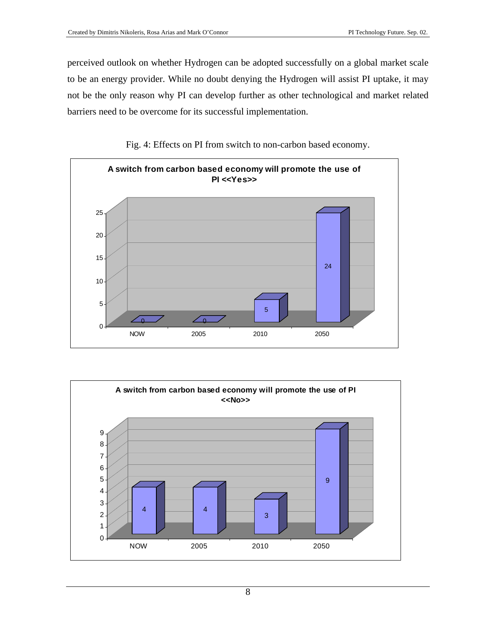perceived outlook on whether Hydrogen can be adopted successfully on a global market scale to be an energy provider. While no doubt denying the Hydrogen will assist PI uptake, it may not be the only reason why PI can develop further as other technological and market related barriers need to be overcome for its successful implementation.



Fig. 4: Effects on PI from switch to non-carbon based economy.

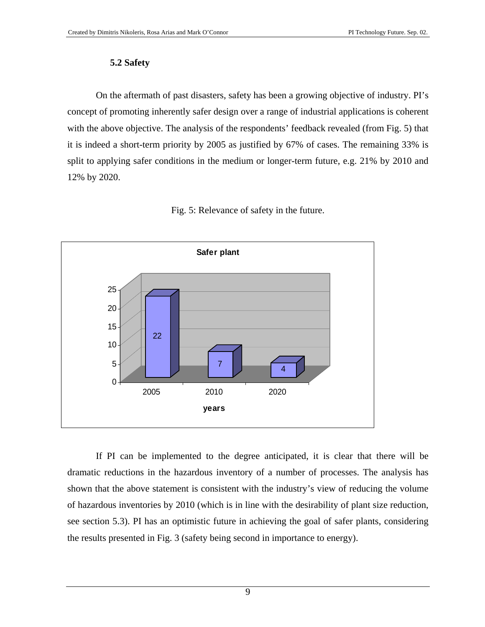#### **5.2 Safety**

On the aftermath of past disasters, safety has been a growing objective of industry. PI's concept of promoting inherently safer design over a range of industrial applications is coherent with the above objective. The analysis of the respondents' feedback revealed (from Fig. 5) that it is indeed a short-term priority by 2005 as justified by 67% of cases. The remaining 33% is split to applying safer conditions in the medium or longer-term future, e.g. 21% by 2010 and 12% by 2020.



Fig. 5: Relevance of safety in the future.

If PI can be implemented to the degree anticipated, it is clear that there will be dramatic reductions in the hazardous inventory of a number of processes. The analysis has shown that the above statement is consistent with the industry's view of reducing the volume of hazardous inventories by 2010 (which is in line with the desirability of plant size reduction, see section 5.3). PI has an optimistic future in achieving the goal of safer plants, considering the results presented in Fig. 3 (safety being second in importance to energy).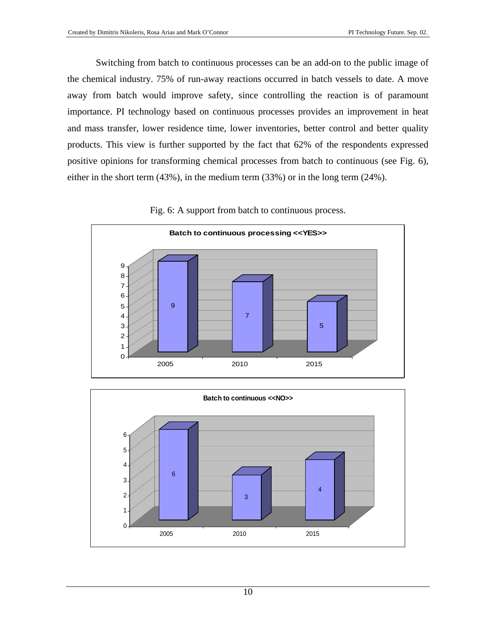Switching from batch to continuous processes can be an add-on to the public image of the chemical industry. 75% of run-away reactions occurred in batch vessels to date. A move away from batch would improve safety, since controlling the reaction is of paramount importance. PI technology based on continuous processes provides an improvement in heat and mass transfer, lower residence time, lower inventories, better control and better quality products. This view is further supported by the fact that 62% of the respondents expressed positive opinions for transforming chemical processes from batch to continuous (see Fig. 6), either in the short term (43%), in the medium term (33%) or in the long term (24%).



Fig. 6: A support from batch to continuous process.

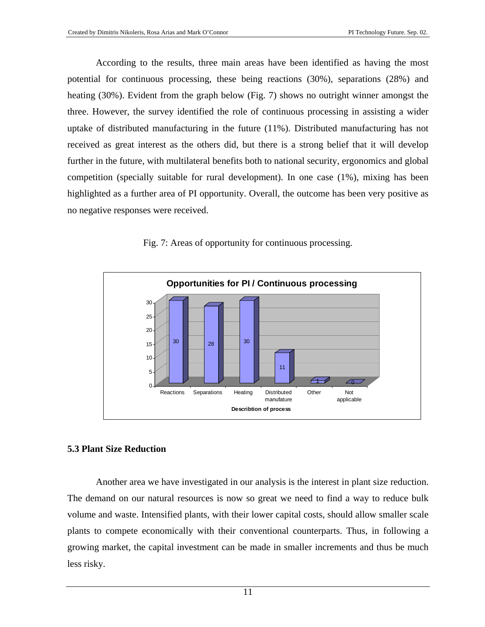According to the results, three main areas have been identified as having the most potential for continuous processing, these being reactions (30%), separations (28%) and heating (30%). Evident from the graph below (Fig. 7) shows no outright winner amongst the three. However, the survey identified the role of continuous processing in assisting a wider uptake of distributed manufacturing in the future (11%). Distributed manufacturing has not received as great interest as the others did, but there is a strong belief that it will develop further in the future, with multilateral benefits both to national security, ergonomics and global competition (specially suitable for rural development). In one case (1%), mixing has been highlighted as a further area of PI opportunity. Overall, the outcome has been very positive as no negative responses were received.



Fig. 7: Areas of opportunity for continuous processing.

#### **5.3 Plant Size Reduction**

Another area we have investigated in our analysis is the interest in plant size reduction. The demand on our natural resources is now so great we need to find a way to reduce bulk volume and waste. Intensified plants, with their lower capital costs, should allow smaller scale plants to compete economically with their conventional counterparts. Thus, in following a growing market, the capital investment can be made in smaller increments and thus be much less risky.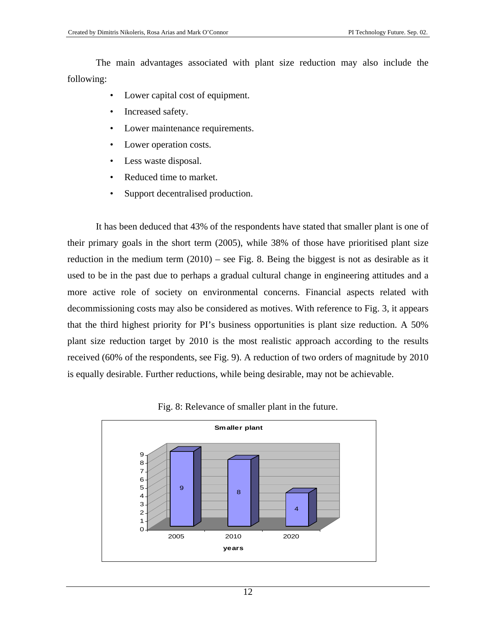The main advantages associated with plant size reduction may also include the following:

- Lower capital cost of equipment.
- Increased safety.
- Lower maintenance requirements.
- Lower operation costs.
- Less waste disposal.
- Reduced time to market.
- Support decentralised production.

It has been deduced that 43% of the respondents have stated that smaller plant is one of their primary goals in the short term (2005), while 38% of those have prioritised plant size reduction in the medium term (2010) – see Fig. 8. Being the biggest is not as desirable as it used to be in the past due to perhaps a gradual cultural change in engineering attitudes and a more active role of society on environmental concerns. Financial aspects related with decommissioning costs may also be considered as motives. With reference to Fig. 3, it appears that the third highest priority for PI's business opportunities is plant size reduction. A 50% plant size reduction target by 2010 is the most realistic approach according to the results received (60% of the respondents, see Fig. 9). A reduction of two orders of magnitude by 2010 is equally desirable. Further reductions, while being desirable, may not be achievable.



Fig. 8: Relevance of smaller plant in the future.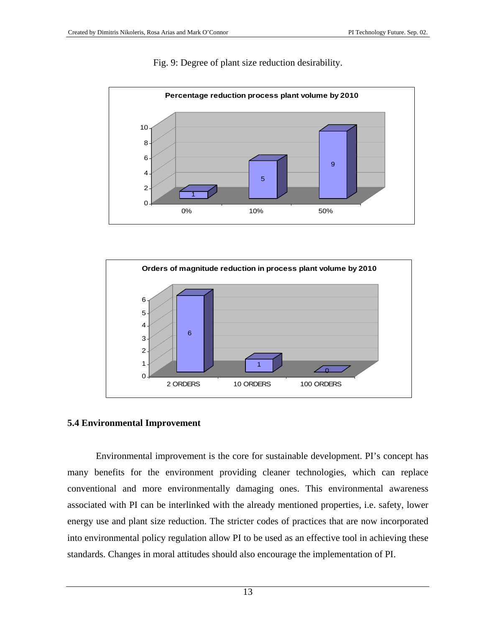

#### Fig. 9: Degree of plant size reduction desirability.



#### **5.4 Environmental Improvement**

Environmental improvement is the core for sustainable development. PI's concept has many benefits for the environment providing cleaner technologies, which can replace conventional and more environmentally damaging ones. This environmental awareness associated with PI can be interlinked with the already mentioned properties, i.e. safety, lower energy use and plant size reduction. The stricter codes of practices that are now incorporated into environmental policy regulation allow PI to be used as an effective tool in achieving these standards. Changes in moral attitudes should also encourage the implementation of PI.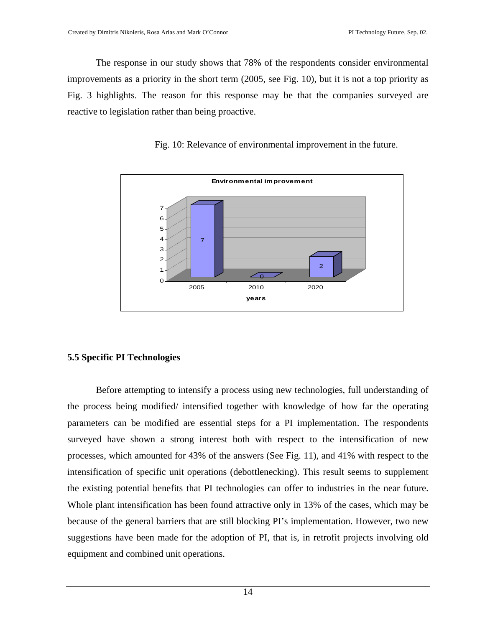The response in our study shows that 78% of the respondents consider environmental improvements as a priority in the short term (2005, see Fig. 10), but it is not a top priority as Fig. 3 highlights. The reason for this response may be that the companies surveyed are reactive to legislation rather than being proactive.

Fig. 10: Relevance of environmental improvement in the future.



#### **5.5 Specific PI Technologies**

Before attempting to intensify a process using new technologies, full understanding of the process being modified/ intensified together with knowledge of how far the operating parameters can be modified are essential steps for a PI implementation. The respondents surveyed have shown a strong interest both with respect to the intensification of new processes, which amounted for 43% of the answers (See Fig. 11), and 41% with respect to the intensification of specific unit operations (debottlenecking). This result seems to supplement the existing potential benefits that PI technologies can offer to industries in the near future. Whole plant intensification has been found attractive only in 13% of the cases, which may be because of the general barriers that are still blocking PI's implementation. However, two new suggestions have been made for the adoption of PI, that is, in retrofit projects involving old equipment and combined unit operations.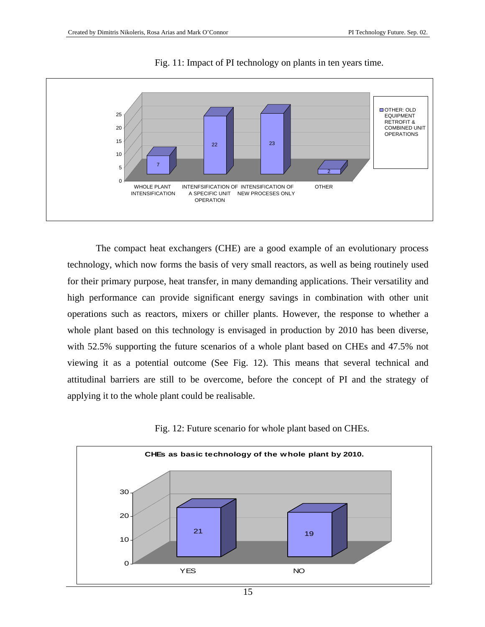

Fig. 11: Impact of PI technology on plants in ten years time.

The compact heat exchangers (CHE) are a good example of an evolutionary process technology, which now forms the basis of very small reactors, as well as being routinely used for their primary purpose, heat transfer, in many demanding applications. Their versatility and high performance can provide significant energy savings in combination with other unit operations such as reactors, mixers or chiller plants. However, the response to whether a whole plant based on this technology is envisaged in production by 2010 has been diverse, with 52.5% supporting the future scenarios of a whole plant based on CHEs and 47.5% not viewing it as a potential outcome (See Fig. 12). This means that several technical and attitudinal barriers are still to be overcome, before the concept of PI and the strategy of applying it to the whole plant could be realisable.



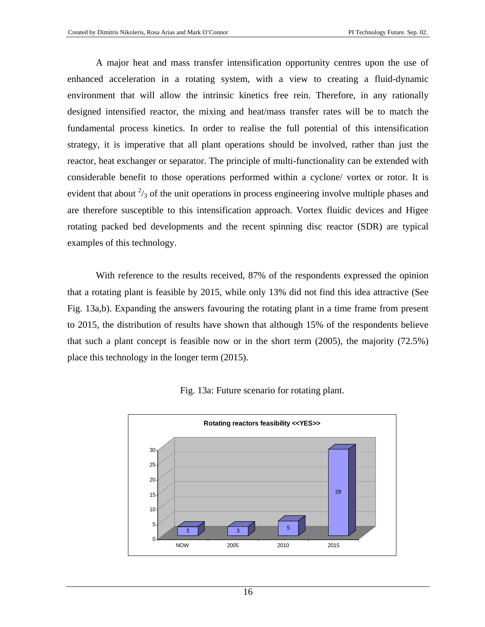A major heat and mass transfer intensification opportunity centres upon the use of enhanced acceleration in a rotating system, with a view to creating a fluid-dynamic environment that will allow the intrinsic kinetics free rein. Therefore, in any rationally designed intensified reactor, the mixing and heat/mass transfer rates will be to match the fundamental process kinetics. In order to realise the full potential of this intensification strategy, it is imperative that all plant operations should be involved, rather than just the reactor, heat exchanger or separator. The principle of multi-functionality can be extended with considerable benefit to those operations performed within a cyclone/ vortex or rotor. It is evident that about  $\frac{2}{3}$  of the unit operations in process engineering involve multiple phases and are therefore susceptible to this intensification approach. Vortex fluidic devices and Higee rotating packed bed developments and the recent spinning disc reactor (SDR) are typical examples of this technology.

With reference to the results received, 87% of the respondents expressed the opinion that a rotating plant is feasible by 2015, while only 13% did not find this idea attractive (See Fig. 13a,b). Expanding the answers favouring the rotating plant in a time frame from present to 2015, the distribution of results have shown that although 15% of the respondents believe that such a plant concept is feasible now or in the short term (2005), the majority (72.5%) place this technology in the longer term (2015).



Fig. 13a: Future scenario for rotating plant.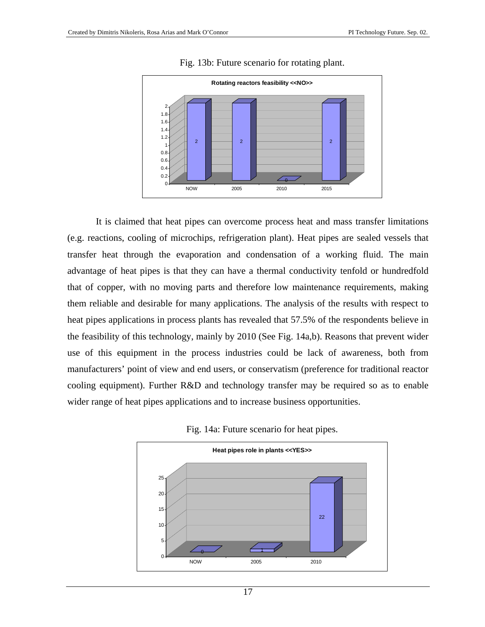

#### Fig. 13b: Future scenario for rotating plant.

It is claimed that heat pipes can overcome process heat and mass transfer limitations (e.g. reactions, cooling of microchips, refrigeration plant). Heat pipes are sealed vessels that transfer heat through the evaporation and condensation of a working fluid. The main advantage of heat pipes is that they can have a thermal conductivity tenfold or hundredfold that of copper, with no moving parts and therefore low maintenance requirements, making them reliable and desirable for many applications. The analysis of the results with respect to heat pipes applications in process plants has revealed that 57.5% of the respondents believe in the feasibility of this technology, mainly by 2010 (See Fig. 14a,b). Reasons that prevent wider use of this equipment in the process industries could be lack of awareness, both from manufacturers' point of view and end users, or conservatism (preference for traditional reactor cooling equipment). Further R&D and technology transfer may be required so as to enable wider range of heat pipes applications and to increase business opportunities.



Fig. 14a: Future scenario for heat pipes.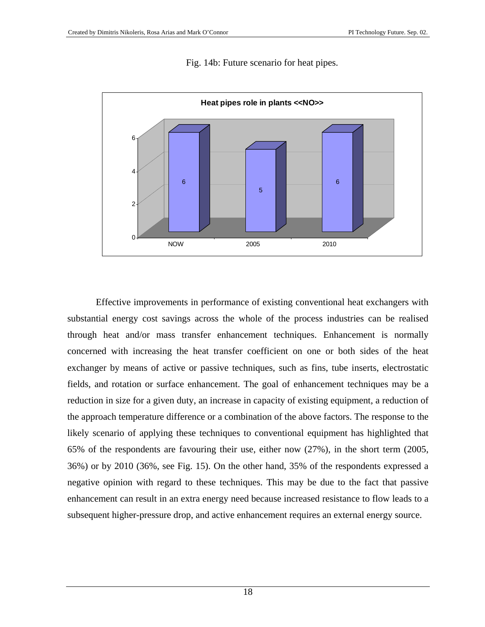

Fig. 14b: Future scenario for heat pipes.

Effective improvements in performance of existing conventional heat exchangers with substantial energy cost savings across the whole of the process industries can be realised through heat and/or mass transfer enhancement techniques. Enhancement is normally concerned with increasing the heat transfer coefficient on one or both sides of the heat exchanger by means of active or passive techniques, such as fins, tube inserts, electrostatic fields, and rotation or surface enhancement. The goal of enhancement techniques may be a reduction in size for a given duty, an increase in capacity of existing equipment, a reduction of the approach temperature difference or a combination of the above factors. The response to the likely scenario of applying these techniques to conventional equipment has highlighted that 65% of the respondents are favouring their use, either now (27%), in the short term (2005, 36%) or by 2010 (36%, see Fig. 15). On the other hand, 35% of the respondents expressed a negative opinion with regard to these techniques. This may be due to the fact that passive enhancement can result in an extra energy need because increased resistance to flow leads to a subsequent higher-pressure drop, and active enhancement requires an external energy source.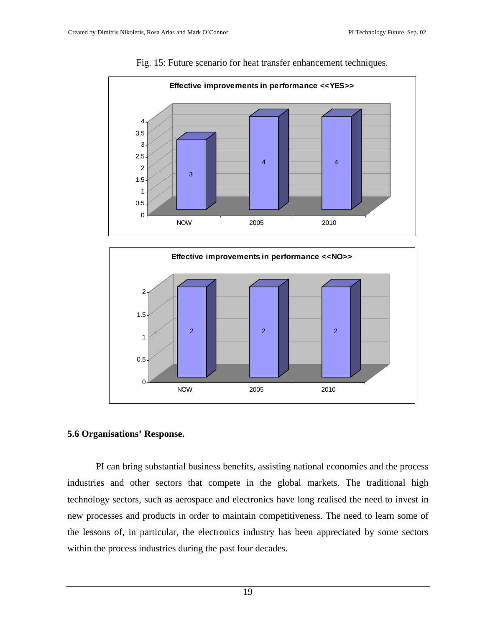

#### Fig. 15: Future scenario for heat transfer enhancement techniques.



#### **5.6 Organisations' Response.**

PI can bring substantial business benefits, assisting national economies and the process industries and other sectors that compete in the global markets. The traditional high technology sectors, such as aerospace and electronics have long realised the need to invest in new processes and products in order to maintain competitiveness. The need to learn some of the lessons of, in particular, the electronics industry has been appreciated by some sectors within the process industries during the past four decades.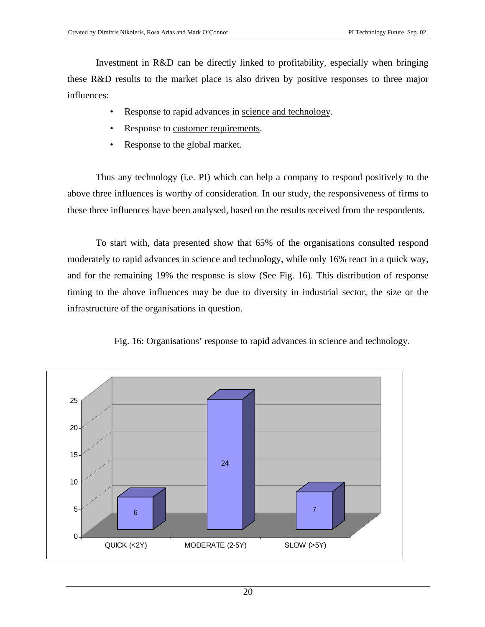Investment in R&D can be directly linked to profitability, especially when bringing these R&D results to the market place is also driven by positive responses to three major influences:

- Response to rapid advances in science and technology.
- Response to customer requirements.
- Response to the global market.

Thus any technology (i.e. PI) which can help a company to respond positively to the above three influences is worthy of consideration. In our study, the responsiveness of firms to these three influences have been analysed, based on the results received from the respondents.

To start with, data presented show that 65% of the organisations consulted respond moderately to rapid advances in science and technology, while only 16% react in a quick way, and for the remaining 19% the response is slow (See Fig. 16). This distribution of response timing to the above influences may be due to diversity in industrial sector, the size or the infrastructure of the organisations in question.



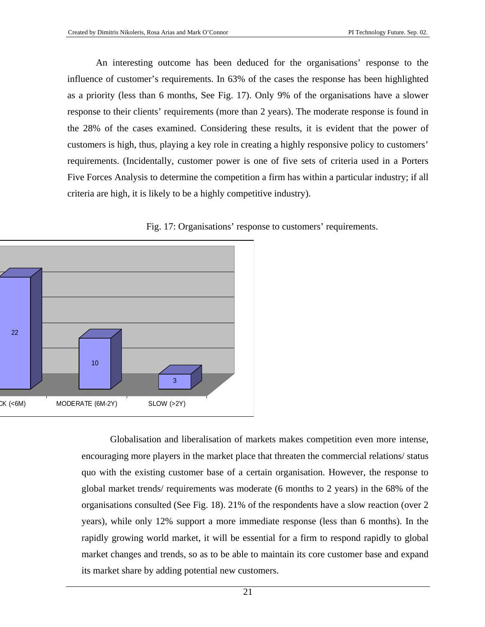An interesting outcome has been deduced for the organisations' response to the influence of customer's requirements. In 63% of the cases the response has been highlighted as a priority (less than 6 months, See Fig. 17). Only 9% of the organisations have a slower response to their clients' requirements (more than 2 years). The moderate response is found in the 28% of the cases examined. Considering these results, it is evident that the power of customers is high, thus, playing a key role in creating a highly responsive policy to customers' requirements. (Incidentally, customer power is one of five sets of criteria used in a Porters Five Forces Analysis to determine the competition a firm has within a particular industry; if all criteria are high, it is likely to be a highly competitive industry).



Fig. 17: Organisations' response to customers' requirements.

Globalisation and liberalisation of markets makes competition even more intense, encouraging more players in the market place that threaten the commercial relations/ status quo with the existing customer base of a certain organisation. However, the response to global market trends/ requirements was moderate (6 months to 2 years) in the 68% of the organisations consulted (See Fig. 18). 21% of the respondents have a slow reaction (over 2 years), while only 12% support a more immediate response (less than 6 months). In the rapidly growing world market, it will be essential for a firm to respond rapidly to global market changes and trends, so as to be able to maintain its core customer base and expand its market share by adding potential new customers.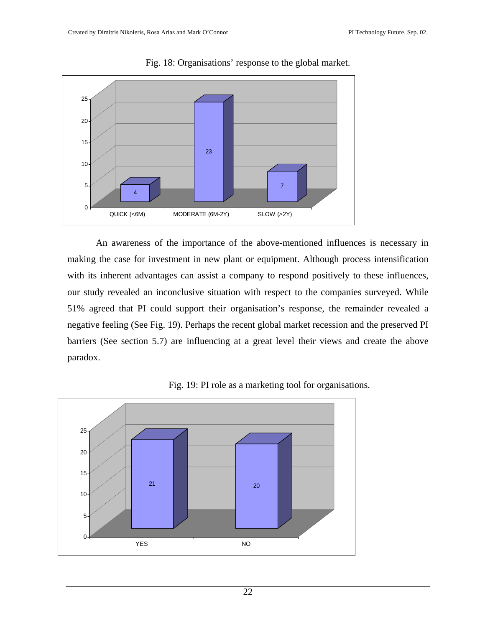

Fig. 18: Organisations' response to the global market.

An awareness of the importance of the above-mentioned influences is necessary in making the case for investment in new plant or equipment. Although process intensification with its inherent advantages can assist a company to respond positively to these influences, our study revealed an inconclusive situation with respect to the companies surveyed. While 51% agreed that PI could support their organisation's response, the remainder revealed a negative feeling (See Fig. 19). Perhaps the recent global market recession and the preserved PI barriers (See section 5.7) are influencing at a great level their views and create the above paradox.



Fig. 19: PI role as a marketing tool for organisations.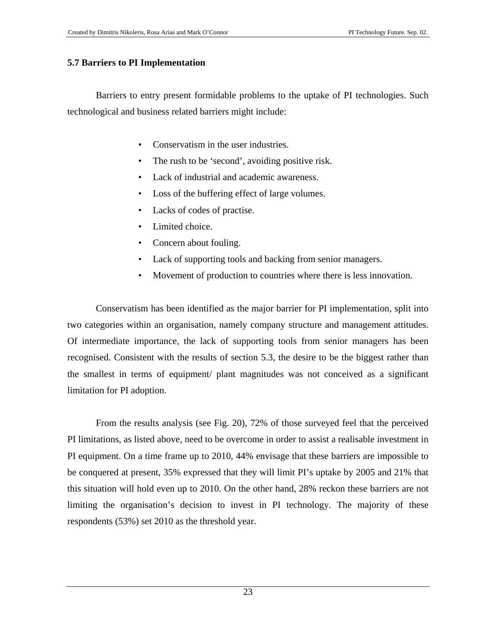#### **5.7 Barriers to PI Implementation**

Barriers to entry present formidable problems to the uptake of PI technologies. Such technological and business related barriers might include:

- Conservatism in the user industries.
- The rush to be 'second', avoiding positive risk.
- Lack of industrial and academic awareness.
- Loss of the buffering effect of large volumes.
- Lacks of codes of practise.
- Limited choice.
- Concern about fouling.
- Lack of supporting tools and backing from senior managers.
- Movement of production to countries where there is less innovation.

Conservatism has been identified as the major barrier for PI implementation, split into two categories within an organisation, namely company structure and management attitudes. Of intermediate importance, the lack of supporting tools from senior managers has been recognised. Consistent with the results of section 5.3, the desire to be the biggest rather than the smallest in terms of equipment/ plant magnitudes was not conceived as a significant limitation for PI adoption.

From the results analysis (see Fig. 20), 72% of those surveyed feel that the perceived PI limitations, as listed above, need to be overcome in order to assist a realisable investment in PI equipment. On a time frame up to 2010, 44% envisage that these barriers are impossible to be conquered at present, 35% expressed that they will limit PI's uptake by 2005 and 21% that this situation will hold even up to 2010. On the other hand, 28% reckon these barriers are not limiting the organisation's decision to invest in PI technology. The majority of these respondents (53%) set 2010 as the threshold year.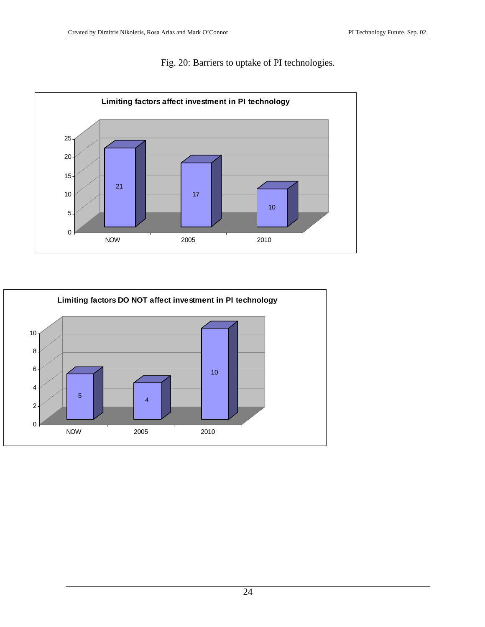



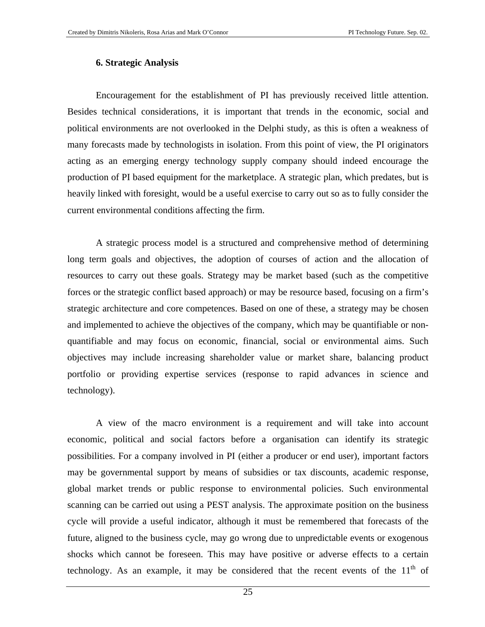#### **6. Strategic Analysis**

Encouragement for the establishment of PI has previously received little attention. Besides technical considerations, it is important that trends in the economic, social and political environments are not overlooked in the Delphi study, as this is often a weakness of many forecasts made by technologists in isolation. From this point of view, the PI originators acting as an emerging energy technology supply company should indeed encourage the production of PI based equipment for the marketplace. A strategic plan, which predates, but is heavily linked with foresight, would be a useful exercise to carry out so as to fully consider the current environmental conditions affecting the firm.

A strategic process model is a structured and comprehensive method of determining long term goals and objectives, the adoption of courses of action and the allocation of resources to carry out these goals. Strategy may be market based (such as the competitive forces or the strategic conflict based approach) or may be resource based, focusing on a firm's strategic architecture and core competences. Based on one of these, a strategy may be chosen and implemented to achieve the objectives of the company, which may be quantifiable or nonquantifiable and may focus on economic, financial, social or environmental aims. Such objectives may include increasing shareholder value or market share, balancing product portfolio or providing expertise services (response to rapid advances in science and technology).

A view of the macro environment is a requirement and will take into account economic, political and social factors before a organisation can identify its strategic possibilities. For a company involved in PI (either a producer or end user), important factors may be governmental support by means of subsidies or tax discounts, academic response, global market trends or public response to environmental policies. Such environmental scanning can be carried out using a PEST analysis. The approximate position on the business cycle will provide a useful indicator, although it must be remembered that forecasts of the future, aligned to the business cycle, may go wrong due to unpredictable events or exogenous shocks which cannot be foreseen. This may have positive or adverse effects to a certain technology. As an example, it may be considered that the recent events of the  $11<sup>th</sup>$  of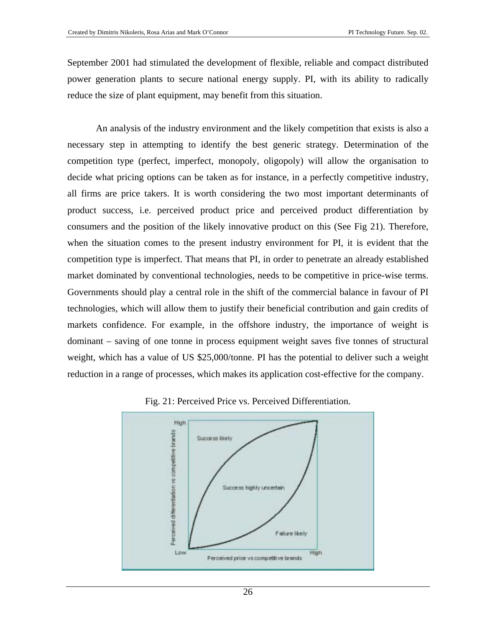September 2001 had stimulated the development of flexible, reliable and compact distributed power generation plants to secure national energy supply. PI, with its ability to radically reduce the size of plant equipment, may benefit from this situation.

An analysis of the industry environment and the likely competition that exists is also a necessary step in attempting to identify the best generic strategy. Determination of the competition type (perfect, imperfect, monopoly, oligopoly) will allow the organisation to decide what pricing options can be taken as for instance, in a perfectly competitive industry, all firms are price takers. It is worth considering the two most important determinants of product success, i.e. perceived product price and perceived product differentiation by consumers and the position of the likely innovative product on this (See Fig 21). Therefore, when the situation comes to the present industry environment for PI, it is evident that the competition type is imperfect. That means that PI, in order to penetrate an already established market dominated by conventional technologies, needs to be competitive in price-wise terms. Governments should play a central role in the shift of the commercial balance in favour of PI technologies, which will allow them to justify their beneficial contribution and gain credits of markets confidence. For example, in the offshore industry, the importance of weight is dominant – saving of one tonne in process equipment weight saves five tonnes of structural weight, which has a value of US \$25,000/tonne. PI has the potential to deliver such a weight reduction in a range of processes, which makes its application cost-effective for the company.



Fig. 21: Perceived Price vs. Perceived Differentiation.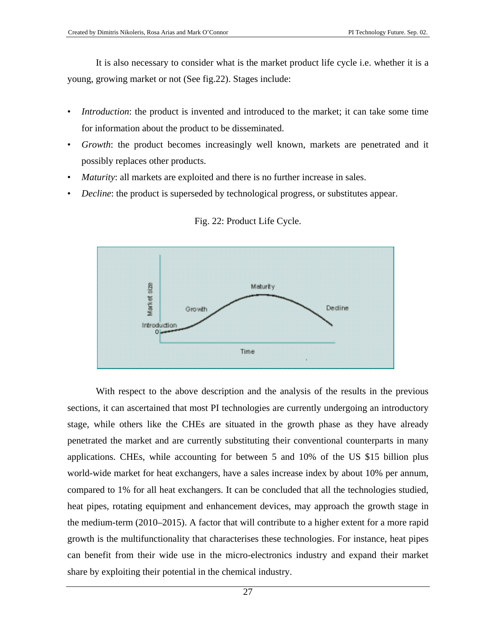It is also necessary to consider what is the market product life cycle i.e. whether it is a young, growing market or not (See fig.22). Stages include:

- *Introduction*: the product is invented and introduced to the market; it can take some time for information about the product to be disseminated.
- *Growth*: the product becomes increasingly well known, markets are penetrated and it possibly replaces other products.
- *Maturity*: all markets are exploited and there is no further increase in sales.
- *Decline*: the product is superseded by technological progress, or substitutes appear.



Fig. 22: Product Life Cycle.

With respect to the above description and the analysis of the results in the previous sections, it can ascertained that most PI technologies are currently undergoing an introductory stage, while others like the CHEs are situated in the growth phase as they have already penetrated the market and are currently substituting their conventional counterparts in many applications. CHEs, while accounting for between 5 and 10% of the US \$15 billion plus world-wide market for heat exchangers, have a sales increase index by about 10% per annum, compared to 1% for all heat exchangers. It can be concluded that all the technologies studied, heat pipes, rotating equipment and enhancement devices, may approach the growth stage in the medium-term (2010–2015). A factor that will contribute to a higher extent for a more rapid growth is the multifunctionality that characterises these technologies. For instance, heat pipes can benefit from their wide use in the micro-electronics industry and expand their market share by exploiting their potential in the chemical industry.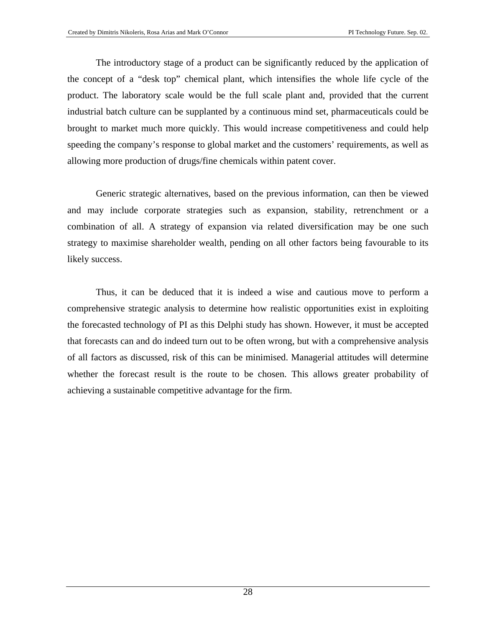The introductory stage of a product can be significantly reduced by the application of the concept of a "desk top" chemical plant, which intensifies the whole life cycle of the product. The laboratory scale would be the full scale plant and, provided that the current industrial batch culture can be supplanted by a continuous mind set, pharmaceuticals could be brought to market much more quickly. This would increase competitiveness and could help speeding the company's response to global market and the customers' requirements, as well as allowing more production of drugs/fine chemicals within patent cover.

Generic strategic alternatives, based on the previous information, can then be viewed and may include corporate strategies such as expansion, stability, retrenchment or a combination of all. A strategy of expansion via related diversification may be one such strategy to maximise shareholder wealth, pending on all other factors being favourable to its likely success.

Thus, it can be deduced that it is indeed a wise and cautious move to perform a comprehensive strategic analysis to determine how realistic opportunities exist in exploiting the forecasted technology of PI as this Delphi study has shown. However, it must be accepted that forecasts can and do indeed turn out to be often wrong, but with a comprehensive analysis of all factors as discussed, risk of this can be minimised. Managerial attitudes will determine whether the forecast result is the route to be chosen. This allows greater probability of achieving a sustainable competitive advantage for the firm.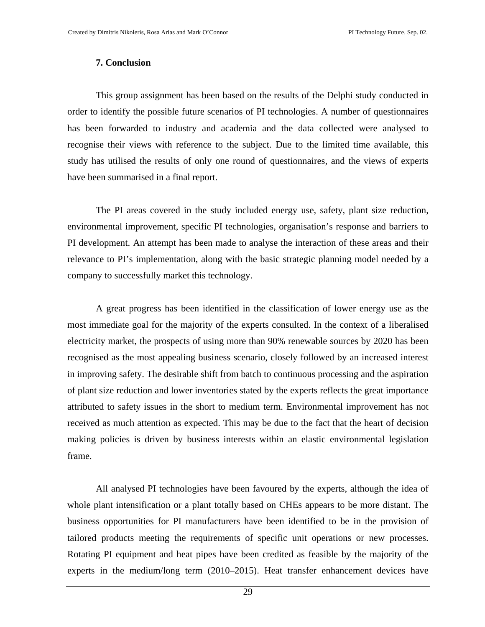#### **7. Conclusion**

This group assignment has been based on the results of the Delphi study conducted in order to identify the possible future scenarios of PI technologies. A number of questionnaires has been forwarded to industry and academia and the data collected were analysed to recognise their views with reference to the subject. Due to the limited time available, this study has utilised the results of only one round of questionnaires, and the views of experts have been summarised in a final report.

The PI areas covered in the study included energy use, safety, plant size reduction, environmental improvement, specific PI technologies, organisation's response and barriers to PI development. An attempt has been made to analyse the interaction of these areas and their relevance to PI's implementation, along with the basic strategic planning model needed by a company to successfully market this technology.

A great progress has been identified in the classification of lower energy use as the most immediate goal for the majority of the experts consulted. In the context of a liberalised electricity market, the prospects of using more than 90% renewable sources by 2020 has been recognised as the most appealing business scenario, closely followed by an increased interest in improving safety. The desirable shift from batch to continuous processing and the aspiration of plant size reduction and lower inventories stated by the experts reflects the great importance attributed to safety issues in the short to medium term. Environmental improvement has not received as much attention as expected. This may be due to the fact that the heart of decision making policies is driven by business interests within an elastic environmental legislation frame.

All analysed PI technologies have been favoured by the experts, although the idea of whole plant intensification or a plant totally based on CHEs appears to be more distant. The business opportunities for PI manufacturers have been identified to be in the provision of tailored products meeting the requirements of specific unit operations or new processes. Rotating PI equipment and heat pipes have been credited as feasible by the majority of the experts in the medium/long term (2010–2015). Heat transfer enhancement devices have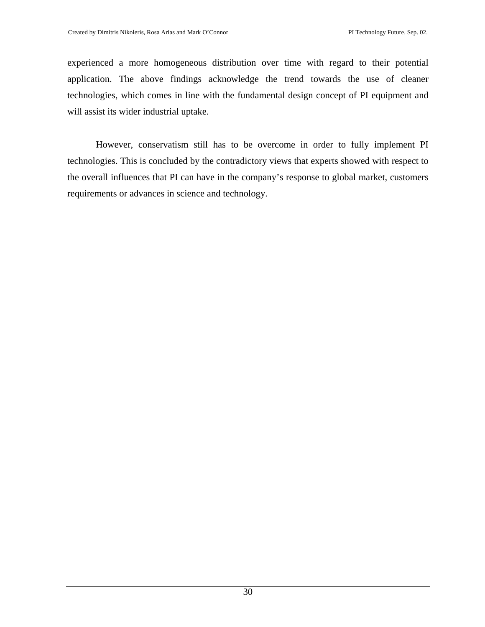experienced a more homogeneous distribution over time with regard to their potential application. The above findings acknowledge the trend towards the use of cleaner technologies, which comes in line with the fundamental design concept of PI equipment and will assist its wider industrial uptake.

However, conservatism still has to be overcome in order to fully implement PI technologies. This is concluded by the contradictory views that experts showed with respect to the overall influences that PI can have in the company's response to global market, customers requirements or advances in science and technology.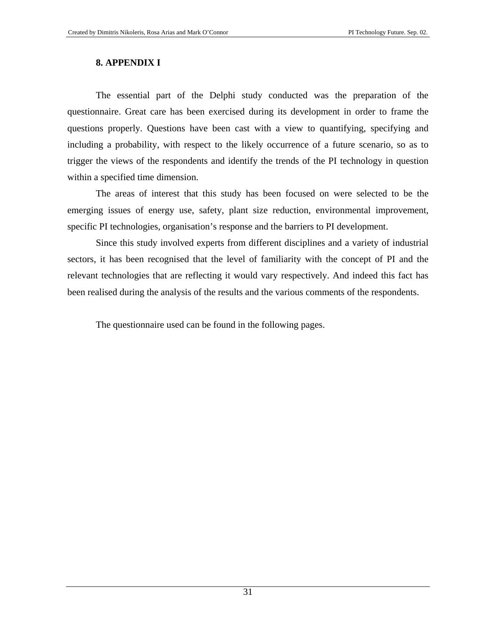#### **8. APPENDIX I**

The essential part of the Delphi study conducted was the preparation of the questionnaire. Great care has been exercised during its development in order to frame the questions properly. Questions have been cast with a view to quantifying, specifying and including a probability, with respect to the likely occurrence of a future scenario, so as to trigger the views of the respondents and identify the trends of the PI technology in question within a specified time dimension.

The areas of interest that this study has been focused on were selected to be the emerging issues of energy use, safety, plant size reduction, environmental improvement, specific PI technologies, organisation's response and the barriers to PI development.

Since this study involved experts from different disciplines and a variety of industrial sectors, it has been recognised that the level of familiarity with the concept of PI and the relevant technologies that are reflecting it would vary respectively. And indeed this fact has been realised during the analysis of the results and the various comments of the respondents.

The questionnaire used can be found in the following pages.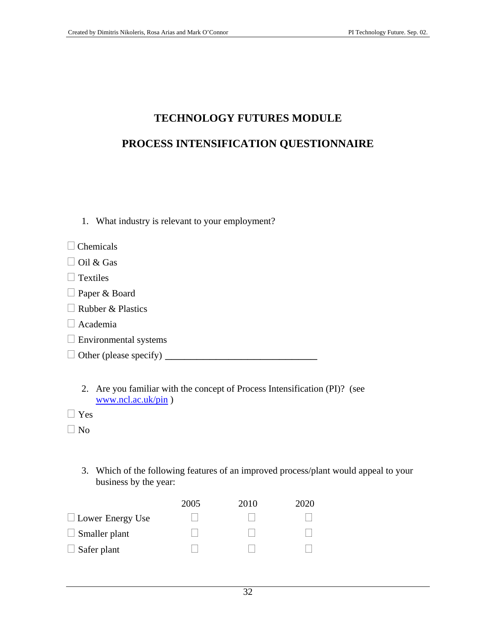# **TECHNOLOGY FUTURES MODULE**

### **PROCESS INTENSIFICATION QUESTIONNAIRE**

| 1. What industry is relevant to your employment? |
|--------------------------------------------------|
| $\Box$ Chemicals                                 |
| $\Box$ Oil & Gas                                 |
| $\Box$ Textiles                                  |
| $\Box$ Paper & Board                             |
| $\Box$ Rubber & Plastics                         |
| $\Box$ Academia                                  |
| $\Box$ Environmental systems                     |
| $\Box$ Other (please specify)                    |
|                                                  |

2. Are you familiar with the concept of Process Intensification (PI)? (see [www.ncl.ac.uk/pin](http://www.ncl.ac.uk/pin) )

Yes

 $\Box$  No

3. Which of the following features of an improved process/plant would appeal to your business by the year:

|                         | 2005 | 2010 | 2020 |
|-------------------------|------|------|------|
| $\Box$ Lower Energy Use |      |      |      |
| $\Box$ Smaller plant    |      |      |      |
| $\Box$ Safer plant      |      |      |      |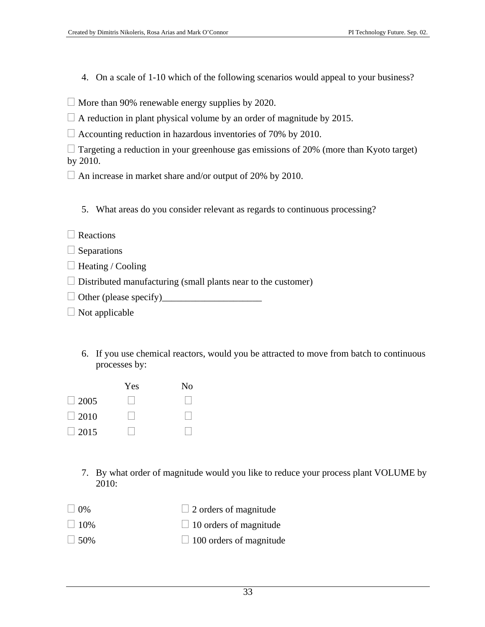- 4. On a scale of 1-10 which of the following scenarios would appeal to your business?
- $\Box$  More than 90% renewable energy supplies by 2020.

 $\Box$  A reduction in plant physical volume by an order of magnitude by 2015.

 $\Box$  Accounting reduction in hazardous inventories of 70% by 2010.

| $\Box$ Targeting a reduction in your greenhouse gas emissions of 20% (more than Kyoto target) |  |  |  |  |
|-----------------------------------------------------------------------------------------------|--|--|--|--|
| by 2010.                                                                                      |  |  |  |  |

 $\Box$  An increase in market share and/or output of 20% by 2010.

5. What areas do you consider relevant as regards to continuous processing?

 $\Box$  Separations

 $\Box$  Heating / Cooling

 $\Box$  Distributed manufacturing (small plants near to the customer)

Other (please specify)\_\_\_\_\_\_\_\_\_\_\_\_\_\_\_\_\_\_\_\_\_

 $\Box$  Not applicable

6. If you use chemical reactors, would you be attracted to move from batch to continuous processes by:

| Yes | No |
|-----|----|
|     |    |
|     |    |
|     |    |
|     |    |

- 7. By what order of magnitude would you like to reduce your process plant VOLUME by 2010:
- $\Box$  0%  $\Box$  2 orders of magnitude
- $\Box$  10%  $\Box$  10 orders of magnitude
- $\Box$  50%  $\Box$  100 orders of magnitude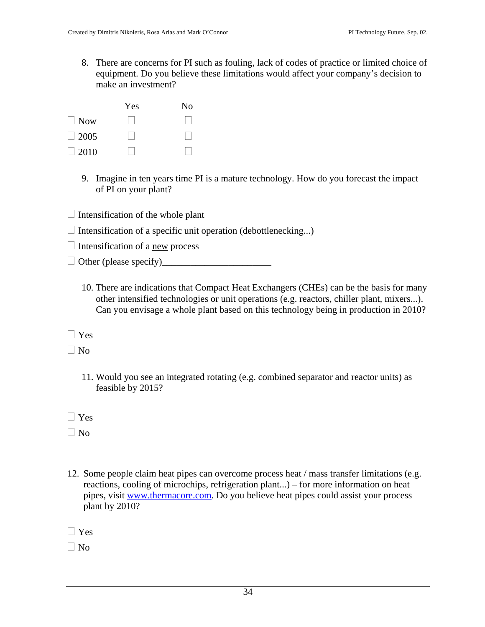8. There are concerns for PI such as fouling, lack of codes of practice or limited choice of equipment. Do you believe these limitations would affect your company's decision to make an investment?

|             | Yes | No |
|-------------|-----|----|
| $\Box$ Now  |     |    |
| $\Box$ 2005 |     |    |
| $\Box$ 2010 |     |    |

- 9. Imagine in ten years time PI is a mature technology. How do you forecast the impact of PI on your plant?
- $\Box$  Intensification of the whole plant
- $\Box$  Intensification of a specific unit operation (debottlenecking...)
- $\Box$  Intensification of a new process
- $\Box$  Other (please specify)
	- 10. There are indications that Compact Heat Exchangers (CHEs) can be the basis for many other intensified technologies or unit operations (e.g. reactors, chiller plant, mixers...). Can you envisage a whole plant based on this technology being in production in 2010?

 $\Box$  Yes

 $\Box$  No

11. Would you see an integrated rotating (e.g. combined separator and reactor units) as feasible by 2015?

 $\n **No**\n$ 

12. Some people claim heat pipes can overcome process heat / mass transfer limitations (e.g. reactions, cooling of microchips, refrigeration plant...) – for more information on heat pipes, visit [www.thermacore.com](http://www.thermacore.com/). Do you believe heat pipes could assist your process plant by 2010?

 $\Box$  Yes

 $\Box$  No

 $\Box$  Yes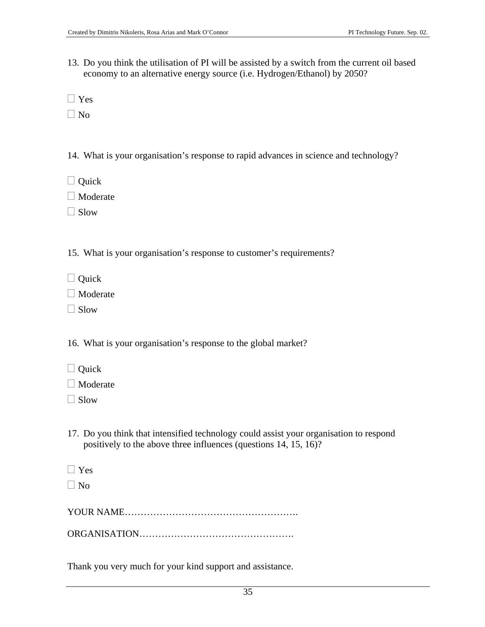- 13. Do you think the utilisation of PI will be assisted by a switch from the current oil based economy to an alternative energy source (i.e. Hydrogen/Ethanol) by 2050?
- Yes
- $\Box$  No
- 14. What is your organisation's response to rapid advances in science and technology?
- □ Quick
- □ Moderate
- $\Box$  Slow
- 15. What is your organisation's response to customer's requirements?
- $\Box$  Quick
- □ Moderate
- $\Box$  Slow

16. What is your organisation's response to the global market?

- □ Quick
- Moderate
- $\Box$  Slow
- 17. Do you think that intensified technology could assist your organisation to respond positively to the above three influences (questions 14, 15, 16)?
- $\Box$  Yes

 $\n **No**\n$ 

|--|--|

ORGANISATION………………………………………….

Thank you very much for your kind support and assistance.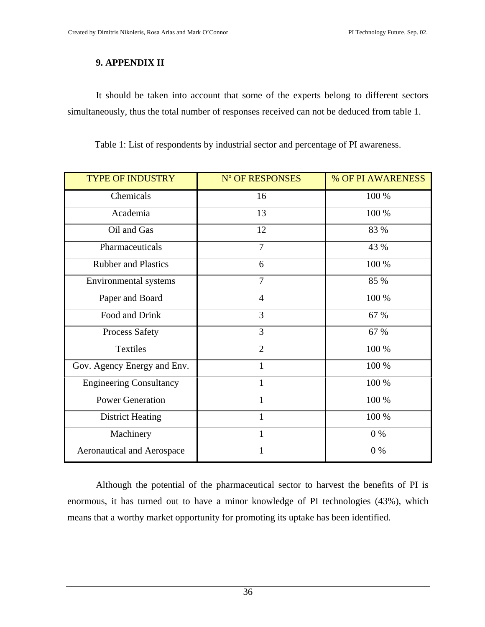#### **9. APPENDIX II**

It should be taken into account that some of the experts belong to different sectors simultaneously, thus the total number of responses received can not be deduced from table 1.

Table 1: List of respondents by industrial sector and percentage of PI awareness.

| <b>TYPE OF INDUSTRY</b>           | N° OF RESPONSES | % OF PI AWARENESS |
|-----------------------------------|-----------------|-------------------|
| Chemicals                         | 16              | 100 %             |
| Academia                          | 13              | 100 %             |
| Oil and Gas                       | 12              | 83 %              |
| Pharmaceuticals                   | $\overline{7}$  | 43 %              |
| <b>Rubber and Plastics</b>        | 6               | 100 %             |
| Environmental systems             | $\overline{7}$  | 85 %              |
| Paper and Board                   | $\overline{4}$  | 100 %             |
| Food and Drink                    | 3               | 67 %              |
| <b>Process Safety</b>             | 3               | 67 %              |
| <b>Textiles</b>                   | $\overline{2}$  | 100 %             |
| Gov. Agency Energy and Env.       | 1               | 100 %             |
| <b>Engineering Consultancy</b>    | 1               | 100 %             |
| <b>Power Generation</b>           | $\mathbf{1}$    | 100 %             |
| <b>District Heating</b>           |                 | 100 %             |
| Machinery                         | $\mathbf{1}$    | $0\%$             |
| <b>Aeronautical and Aerospace</b> | $\mathbf{1}$    | 0%                |

Although the potential of the pharmaceutical sector to harvest the benefits of PI is enormous, it has turned out to have a minor knowledge of PI technologies (43%), which means that a worthy market opportunity for promoting its uptake has been identified.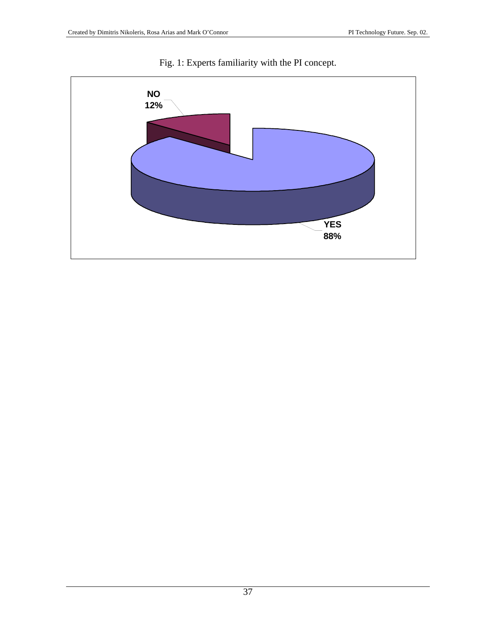

Fig. 1: Experts familiarity with the PI concept.